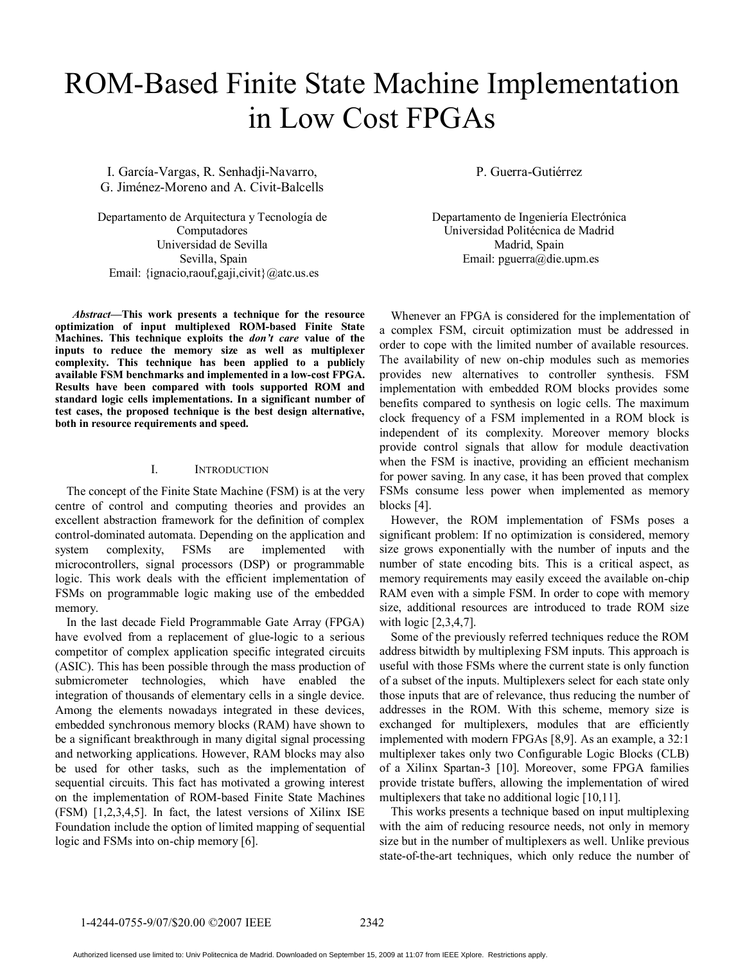# ROM-Based Finite State Machine Implementation in Low Cost FPGAs

I. García-Vargas, R. Senhadji-Navarro, G. Jiménez-Moreno and A. Civit-Balcells

Departamento de Arquitectura y Tecnología de Computadores Universidad de Sevilla Sevilla, Spain Email: {ignacio,raouf,gaji,civit}@atc.us.es

*Abstract—***This work presents a technique for the resource optimization of input multiplexed ROM-based Finite State Machines. This technique exploits the** *don't care* **value of the inputs to reduce the memory size as well as multiplexer complexity. This technique has been applied to a publicly available FSM benchmarks and implemented in a low-cost FPGA. Results have been compared with tools supported ROM and standard logic cells implementations. In a significant number of test cases, the proposed technique is the best design alternative, both in resource requirements and speed.** 

# I. INTRODUCTION

The concept of the Finite State Machine (FSM) is at the very centre of control and computing theories and provides an excellent abstraction framework for the definition of complex control-dominated automata. Depending on the application and system complexity, FSMs are implemented with microcontrollers, signal processors (DSP) or programmable logic. This work deals with the efficient implementation of FSMs on programmable logic making use of the embedded memory.

In the last decade Field Programmable Gate Array (FPGA) have evolved from a replacement of glue-logic to a serious competitor of complex application specific integrated circuits (ASIC). This has been possible through the mass production of submicrometer technologies, which have enabled the integration of thousands of elementary cells in a single device. Among the elements nowadays integrated in these devices, embedded synchronous memory blocks (RAM) have shown to be a significant breakthrough in many digital signal processing and networking applications. However, RAM blocks may also be used for other tasks, such as the implementation of sequential circuits. This fact has motivated a growing interest on the implementation of ROM-based Finite State Machines (FSM) [1,2,3,4,5]. In fact, the latest versions of Xilinx ISE Foundation include the option of limited mapping of sequential logic and FSMs into on-chip memory [6].

P. Guerra-Gutiérrez

Departamento de Ingeniería Electrónica Universidad Politécnica de Madrid Madrid, Spain Email: pguerra@die.upm.es

Whenever an FPGA is considered for the implementation of a complex FSM, circuit optimization must be addressed in order to cope with the limited number of available resources. The availability of new on-chip modules such as memories provides new alternatives to controller synthesis. FSM implementation with embedded ROM blocks provides some benefits compared to synthesis on logic cells. The maximum clock frequency of a FSM implemented in a ROM block is independent of its complexity. Moreover memory blocks provide control signals that allow for module deactivation when the FSM is inactive, providing an efficient mechanism for power saving. In any case, it has been proved that complex FSMs consume less power when implemented as memory blocks [4].

However, the ROM implementation of FSMs poses a significant problem: If no optimization is considered, memory size grows exponentially with the number of inputs and the number of state encoding bits. This is a critical aspect, as memory requirements may easily exceed the available on-chip RAM even with a simple FSM. In order to cope with memory size, additional resources are introduced to trade ROM size with logic [2,3,4,7].

Some of the previously referred techniques reduce the ROM address bitwidth by multiplexing FSM inputs. This approach is useful with those FSMs where the current state is only function of a subset of the inputs. Multiplexers select for each state only those inputs that are of relevance, thus reducing the number of addresses in the ROM. With this scheme, memory size is exchanged for multiplexers, modules that are efficiently implemented with modern FPGAs [8,9]. As an example, a 32:1 multiplexer takes only two Configurable Logic Blocks (CLB) of a Xilinx Spartan-3 [10]. Moreover, some FPGA families provide tristate buffers, allowing the implementation of wired multiplexers that take no additional logic [10,11].

This works presents a technique based on input multiplexing with the aim of reducing resource needs, not only in memory size but in the number of multiplexers as well. Unlike previous state-of-the-art techniques, which only reduce the number of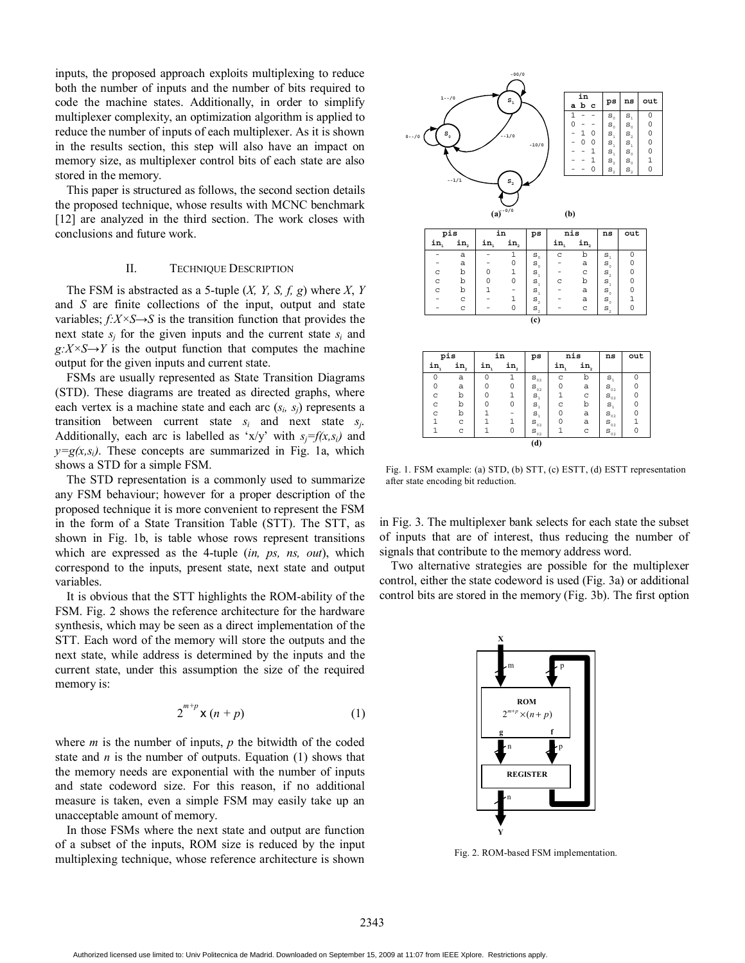inputs, the proposed approach exploits multiplexing to reduce both the number of inputs and the number of bits required to code the machine states. Additionally, in order to simplify multiplexer complexity, an optimization algorithm is applied to reduce the number of inputs of each multiplexer. As it is shown in the results section, this step will also have an impact on memory size, as multiplexer control bits of each state are also stored in the memory.

This paper is structured as follows, the second section details the proposed technique, whose results with MCNC benchmark [12] are analyzed in the third section. The work closes with conclusions and future work.

## II. TECHNIQUE DESCRIPTION

The FSM is abstracted as a 5-tuple (*X, Y, S, f, g*) where *X*, *Y* and *S* are finite collections of the input, output and state variables;  $f: X \times S \rightarrow S$  is the transition function that provides the next state  $s_i$  for the given inputs and the current state  $s_i$  and  $g: X \times S \rightarrow Y$  is the output function that computes the machine output for the given inputs and current state.

FSMs are usually represented as State Transition Diagrams (STD). These diagrams are treated as directed graphs, where each vertex is a machine state and each arc (*si, sj*) represents a transition between current state  $s_i$  and next state  $s_j$ . Additionally, each arc is labelled as 'x/y' with  $s_i = f(x, s_i)$  and  $y=g(x,s_i)$ . These concepts are summarized in Fig. 1a, which shows a STD for a simple FSM.

The STD representation is a commonly used to summarize any FSM behaviour; however for a proper description of the proposed technique it is more convenient to represent the FSM in the form of a State Transition Table (STT). The STT, as shown in Fig. 1b, is table whose rows represent transitions which are expressed as the 4-tuple (*in, ps, ns, out*), which correspond to the inputs, present state, next state and output variables.

It is obvious that the STT highlights the ROM-ability of the FSM. Fig. 2 shows the reference architecture for the hardware synthesis, which may be seen as a direct implementation of the STT. Each word of the memory will store the outputs and the next state, while address is determined by the inputs and the current state, under this assumption the size of the required memory is:

$$
2^{m+p}\mathbf{x}(n+p) \tag{1}
$$

where *m* is the number of inputs, *p* the bitwidth of the coded state and  $n$  is the number of outputs. Equation  $(1)$  shows that the memory needs are exponential with the number of inputs and state codeword size. For this reason, if no additional measure is taken, even a simple FSM may easily take up an unacceptable amount of memory.

In those FSMs where the next state and output are function of a subset of the inputs, ROM size is reduced by the input multiplexing technique, whose reference architecture is shown



Fig. 1. FSM example: (a) STD, (b) STT, (c) ESTT, (d) ESTT representation after state encoding bit reduction.

in Fig. 3. The multiplexer bank selects for each state the subset of inputs that are of interest, thus reducing the number of signals that contribute to the memory address word.

Two alternative strategies are possible for the multiplexer control, either the state codeword is used (Fig. 3a) or additional control bits are stored in the memory (Fig. 3b). The first option



Fig. 2. ROM-based FSM implementation.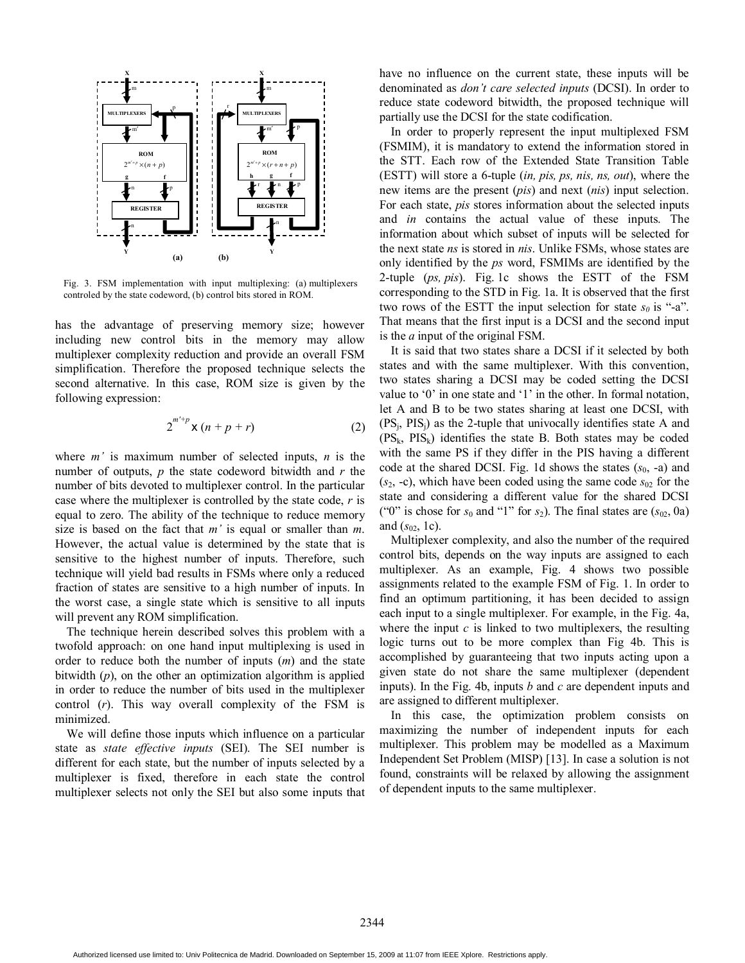

Fig. 3. FSM implementation with input multiplexing: (a) multiplexers controled by the state codeword, (b) control bits stored in ROM.

has the advantage of preserving memory size; however including new control bits in the memory may allow multiplexer complexity reduction and provide an overall FSM simplification. Therefore the proposed technique selects the second alternative. In this case, ROM size is given by the following expression:

$$
2^{m'+p}\mathbf{x}\left(n+p+r\right) \tag{2}
$$

where *m'* is maximum number of selected inputs, *n* is the number of outputs, *p* the state codeword bitwidth and *r* the number of bits devoted to multiplexer control. In the particular case where the multiplexer is controlled by the state code, *r* is equal to zero. The ability of the technique to reduce memory size is based on the fact that *m'* is equal or smaller than *m*. However, the actual value is determined by the state that is sensitive to the highest number of inputs. Therefore, such technique will yield bad results in FSMs where only a reduced fraction of states are sensitive to a high number of inputs. In the worst case, a single state which is sensitive to all inputs will prevent any ROM simplification.

The technique herein described solves this problem with a twofold approach: on one hand input multiplexing is used in order to reduce both the number of inputs (*m*) and the state bitwidth (*p*), on the other an optimization algorithm is applied in order to reduce the number of bits used in the multiplexer control (*r*). This way overall complexity of the FSM is minimized.

We will define those inputs which influence on a particular state as *state effective inputs* (SEI). The SEI number is different for each state, but the number of inputs selected by a multiplexer is fixed, therefore in each state the control multiplexer selects not only the SEI but also some inputs that

have no influence on the current state, these inputs will be denominated as *don't care selected inputs* (DCSI). In order to reduce state codeword bitwidth, the proposed technique will partially use the DCSI for the state codification.

In order to properly represent the input multiplexed FSM (FSMIM), it is mandatory to extend the information stored in the STT. Each row of the Extended State Transition Table (ESTT) will store a 6-tuple (*in, pis, ps, nis, ns, out*), where the new items are the present (*pis*) and next (*nis*) input selection. For each state, *pis* stores information about the selected inputs and *in* contains the actual value of these inputs. The information about which subset of inputs will be selected for the next state *ns* is stored in *nis*. Unlike FSMs, whose states are only identified by the *ps* word, FSMIMs are identified by the 2-tuple (*ps, pis*). Fig. 1c shows the ESTT of the FSM corresponding to the STD in Fig. 1a. It is observed that the first two rows of the ESTT the input selection for state  $s_0$  is "-a". That means that the first input is a DCSI and the second input is the *a* input of the original FSM.

It is said that two states share a DCSI if it selected by both states and with the same multiplexer. With this convention, two states sharing a DCSI may be coded setting the DCSI value to '0' in one state and '1' in the other. In formal notation, let A and B to be two states sharing at least one DCSI, with  $(PS_i, PIS_j)$  as the 2-tuple that univocally identifies state A and  $(PS_k, PIS_k)$  identifies the state B. Both states may be coded with the same PS if they differ in the PIS having a different code at the shared DCSI. Fig. 1d shows the states (*s*0, -a) and  $(s_2, -c)$ , which have been coded using the same code  $s_{02}$  for the state and considering a different value for the shared DCSI ("0" is chose for  $s_0$  and "1" for  $s_2$ ). The final states are  $(s_{02}, 0a)$ and  $(s_{02}, 1c)$ .

Multiplexer complexity, and also the number of the required control bits, depends on the way inputs are assigned to each multiplexer. As an example, Fig. 4 shows two possible assignments related to the example FSM of Fig. 1. In order to find an optimum partitioning, it has been decided to assign each input to a single multiplexer. For example, in the Fig. 4a, where the input  $c$  is linked to two multiplexers, the resulting logic turns out to be more complex than Fig 4b. This is accomplished by guaranteeing that two inputs acting upon a given state do not share the same multiplexer (dependent inputs). In the Fig. 4b, inputs *b* and *c* are dependent inputs and are assigned to different multiplexer.

In this case, the optimization problem consists on maximizing the number of independent inputs for each multiplexer. This problem may be modelled as a Maximum Independent Set Problem (MISP) [13]. In case a solution is not found, constraints will be relaxed by allowing the assignment of dependent inputs to the same multiplexer.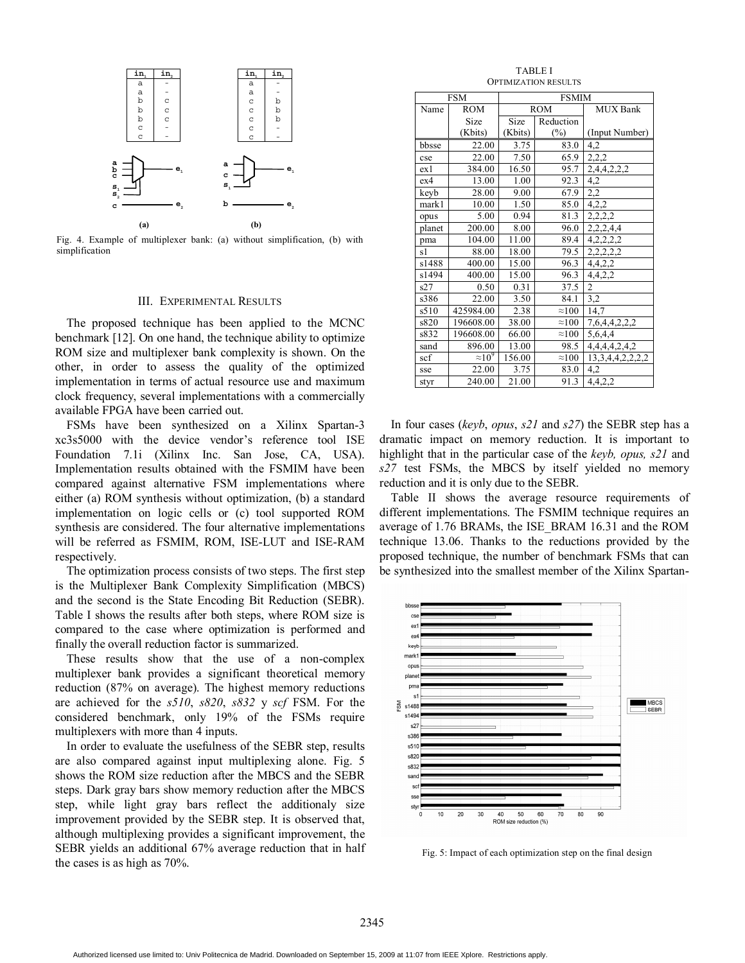

Fig. 4. Example of multiplexer bank: (a) without simplification, (b) with simplification

## III. EXPERIMENTAL RESULTS

The proposed technique has been applied to the MCNC benchmark [12]. On one hand, the technique ability to optimize ROM size and multiplexer bank complexity is shown. On the other, in order to assess the quality of the optimized implementation in terms of actual resource use and maximum clock frequency, several implementations with a commercially available FPGA have been carried out.

FSMs have been synthesized on a Xilinx Spartan-3 xc3s5000 with the device vendor's reference tool ISE Foundation 7.1i (Xilinx Inc. San Jose, CA, USA). Implementation results obtained with the FSMIM have been compared against alternative FSM implementations where either (a) ROM synthesis without optimization, (b) a standard implementation on logic cells or (c) tool supported ROM synthesis are considered. The four alternative implementations will be referred as FSMIM, ROM, ISE-LUT and ISE-RAM respectively.

The optimization process consists of two steps. The first step is the Multiplexer Bank Complexity Simplification (MBCS) and the second is the State Encoding Bit Reduction (SEBR). Table I shows the results after both steps, where ROM size is compared to the case where optimization is performed and finally the overall reduction factor is summarized.

These results show that the use of a non-complex multiplexer bank provides a significant theoretical memory reduction (87% on average). The highest memory reductions are achieved for the *s510*, *s820*, *s832* y *scf* FSM. For the considered benchmark, only 19% of the FSMs require multiplexers with more than 4 inputs.

In order to evaluate the usefulness of the SEBR step, results are also compared against input multiplexing alone. Fig. 5 shows the ROM size reduction after the MBCS and the SEBR steps. Dark gray bars show memory reduction after the MBCS step, while light gray bars reflect the additionaly size improvement provided by the SEBR step. It is observed that, although multiplexing provides a significant improvement, the SEBR yields an additional 67% average reduction that in half the cases is as high as 70%.

TABLE I OPTIMIZATION RESULTS

| <b>FSM</b> |                | <b>FSMIM</b> |               |                            |  |  |
|------------|----------------|--------------|---------------|----------------------------|--|--|
| Name       | <b>ROM</b>     |              | <b>ROM</b>    | <b>MUX</b> Bank            |  |  |
|            | Size           | Size         | Reduction     |                            |  |  |
|            | (Kbits)        | (Kbits)      | $\frac{0}{0}$ | (Input Number)             |  |  |
| bbsse      | 22.00          | 3.75         | 83.0          | 4,2                        |  |  |
| cse        | 22.00          | 7.50         | 65.9          | 2,2,2                      |  |  |
| ex1        | 384.00         | 16.50        | 95.7          | 2,4,4,2,2,2                |  |  |
| ex4        | 13.00          | 1.00         | 92.3          | 4,2                        |  |  |
| keyb       | 28.00          | 9.00         | 67.9          | 2,2                        |  |  |
| mark1      | 10.00          | 1.50         | 85.0          | 4,2,2                      |  |  |
| opus       | 5.00           | 0.94         | 81.3          | 2,2,2,2                    |  |  |
| planet     | 200.00         | 8.00         | 96.0          | 2,2,2,4,4                  |  |  |
| pma        | 104.00         | 11.00        | 89.4          | 4,2,2,2,2                  |  |  |
| s1         | 88.00          | 18.00        | 79.5          | 2,2,2,2,2                  |  |  |
| s1488      | 400.00         | 15.00        | 96.3          | 4,4,2,2                    |  |  |
| s1494      | 400.00         | 15.00        | 96.3          | 4,4,2,2                    |  |  |
| s27        | 0.50           | 0.31         | 37.5          | $\overline{2}$             |  |  |
| s386       | 22.00          | 3.50         | 84.1          | 3,2                        |  |  |
| s510       | 425984.00      | 2.38         | $\approx 100$ | 14,7                       |  |  |
| s820       | 196608.00      | 38.00        | $\approx 100$ | 7,6,4,4,2,2,2              |  |  |
| s832       | 196608.00      | 66.00        | $\approx 100$ | 5,6,4,4                    |  |  |
| sand       | 896.00         | 13.00        | 98.5          | 4, 4, 4, 4, 2, 4, 2        |  |  |
| scf        | $\approx 10^9$ | 156.00       | $\approx 100$ | 13, 3, 4, 4, 2, 2, 2, 2, 2 |  |  |
| sse        | 22.00          | 3.75         | 83.0          | 4,2                        |  |  |
| styr       | 240.00         | 21.00        | 91.3          | 4,4,2,2                    |  |  |

In four cases (*keyb*, *opus*, *s21* and *s27*) the SEBR step has a dramatic impact on memory reduction. It is important to highlight that in the particular case of the *keyb, opus, s21* and *s27* test FSMs, the MBCS by itself yielded no memory reduction and it is only due to the SEBR.

Table II shows the average resource requirements of different implementations. The FSMIM technique requires an average of 1.76 BRAMs, the ISE\_BRAM 16.31 and the ROM technique 13.06. Thanks to the reductions provided by the proposed technique, the number of benchmark FSMs that can be synthesized into the smallest member of the Xilinx Spartan-



Fig. 5: Impact of each optimization step on the final design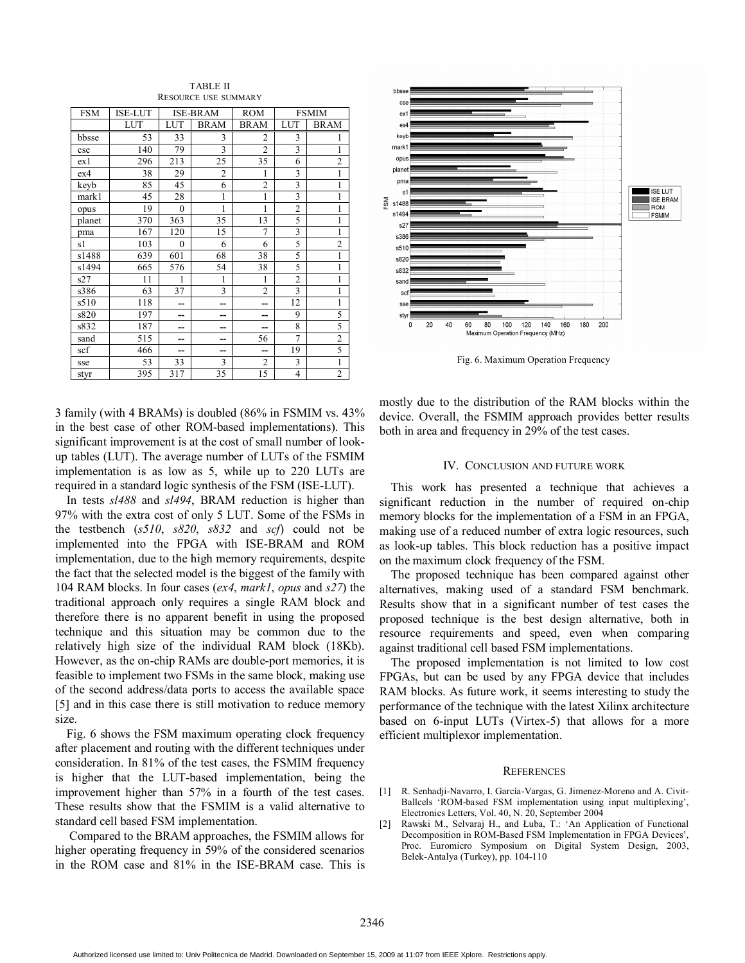| RESOURCE USE SUMMART |                |                 |                |                |                |                |  |  |  |  |  |
|----------------------|----------------|-----------------|----------------|----------------|----------------|----------------|--|--|--|--|--|
| <b>FSM</b>           | <b>ISE-LUT</b> | <b>ISE-BRAM</b> |                | <b>ROM</b>     | <b>FSMIM</b>   |                |  |  |  |  |  |
|                      | <b>LUT</b>     | <b>LUT</b>      | <b>BRAM</b>    | <b>BRAM</b>    | LUT            | <b>BRAM</b>    |  |  |  |  |  |
| bbsse                | 53             | 33              | 3              | 2              | 3              | 1              |  |  |  |  |  |
| cse                  | 140            | 79              | 3              | $\overline{c}$ | 3              | 1              |  |  |  |  |  |
| ex1                  | 296            | 213             | 25             | 35             | 6              | $\overline{c}$ |  |  |  |  |  |
| ex4                  | 38             | 29              | $\overline{2}$ | 1              | 3              | 1              |  |  |  |  |  |
| keyb                 | 85             | 45              | 6              | $\overline{2}$ | 3              | 1              |  |  |  |  |  |
| mark1                | 45             | 28              | 1              | 1              | 3              | 1              |  |  |  |  |  |
| opus                 | 19             | $\theta$        | 1              | 1              | $\overline{c}$ | 1              |  |  |  |  |  |
| planet               | 370            | 363             | 35             | 13             | 5              | 1              |  |  |  |  |  |
| pma                  | 167            | 120             | 15             | $\overline{7}$ | 3              | 1              |  |  |  |  |  |
| s1                   | 103            | $\theta$        | 6              | 6              | 5              | $\overline{c}$ |  |  |  |  |  |
| s1488                | 639            | 601             | 68             | 38             | 5              | $\mathbf{1}$   |  |  |  |  |  |
| s1494                | 665            | 576             | 54             | 38             | 5              | 1              |  |  |  |  |  |
| s27                  | 11             | 1               | 1              | 1              | $\overline{c}$ | 1              |  |  |  |  |  |
| s386                 | 63             | 37              | 3              | $\overline{c}$ | 3              | 1              |  |  |  |  |  |
| s510                 | 118            | --              |                | --             | 12             | 1              |  |  |  |  |  |
| s820                 | 197            | --              |                | --             | 9              | 5              |  |  |  |  |  |
| s832                 | 187            | --              |                | --             | 8              | 5              |  |  |  |  |  |
| sand                 | 515            | --              |                | 56             | $\overline{7}$ | $\overline{c}$ |  |  |  |  |  |
| scf                  | 466            | --              |                | --             | 19             | 5              |  |  |  |  |  |
| sse                  | 53             | 33              | 3              | 2              | 3              | $\mathbf{1}$   |  |  |  |  |  |
| styr                 | 395            | 317             | 35             | 15             | $\overline{4}$ | $\overline{2}$ |  |  |  |  |  |

TABLE II<br>CE USE SUMMARY **RESOURCE** 



Fig. 6. Maximum Operation Frequency

3 family (with 4 BRAMs) is doubled (86% in FSMIM vs. 43% in the best case of other ROM-based implementations). This significant improvement is at the cost of small number of lookup tables (LUT). The average number of LUTs of the FSMIM implementation is as low as 5, while up to 220 LUTs are required in a standard logic synthesis of the FSM (ISE-LUT).

In tests *sl488* and *sl494*, BRAM reduction is higher than 97% with the extra cost of only 5 LUT. Some of the FSMs in the testbench (*s510*, *s820*, *s832* and *scf*) could not be implemented into the FPGA with ISE-BRAM and ROM implementation, due to the high memory requirements, despite the fact that the selected model is the biggest of the family with 104 RAM blocks. In four cases (*ex4*, *mark1*, *opus* and *s27*) the traditional approach only requires a single RAM block and therefore there is no apparent benefit in using the proposed technique and this situation may be common due to the relatively high size of the individual RAM block (18Kb). However, as the on-chip RAMs are double-port memories, it is feasible to implement two FSMs in the same block, making use of the second address/data ports to access the available space [5] and in this case there is still motivation to reduce memory size.

Fig. 6 shows the FSM maximum operating clock frequency after placement and routing with the different techniques under consideration. In 81% of the test cases, the FSMIM frequency is higher that the LUT-based implementation, being the improvement higher than 57% in a fourth of the test cases. These results show that the FSMIM is a valid alternative to standard cell based FSM implementation.

 Compared to the BRAM approaches, the FSMIM allows for higher operating frequency in 59% of the considered scenarios in the ROM case and 81% in the ISE-BRAM case. This is mostly due to the distribution of the RAM blocks within the device. Overall, the FSMIM approach provides better results both in area and frequency in 29% of the test cases.

### IV. CONCLUSION AND FUTURE WORK

This work has presented a technique that achieves a significant reduction in the number of required on-chip memory blocks for the implementation of a FSM in an FPGA, making use of a reduced number of extra logic resources, such as look-up tables. This block reduction has a positive impact on the maximum clock frequency of the FSM.

The proposed technique has been compared against other alternatives, making used of a standard FSM benchmark. Results show that in a significant number of test cases the proposed technique is the best design alternative, both in resource requirements and speed, even when comparing against traditional cell based FSM implementations.

The proposed implementation is not limited to low cost FPGAs, but can be used by any FPGA device that includes RAM blocks. As future work, it seems interesting to study the performance of the technique with the latest Xilinx architecture based on 6-input LUTs (Virtex-5) that allows for a more efficient multiplexor implementation.

#### **REFERENCES**

- [1] R. Senhadji-Navarro, I. García-Vargas, G. Jimenez-Moreno and A. Civit-Ballcels 'ROM-based FSM implementation using input multiplexing', Electronics Letters, Vol. 40, N. 20, September 2004
- [2] Rawski M., Selvaraj H., and Łuba, T.: 'An Application of Functional Decomposition in ROM-Based FSM Implementation in FPGA Devices', Proc. Euromicro Symposium on Digital System Design, 2003, Belek-Antalya (Turkey), pp. 104-110